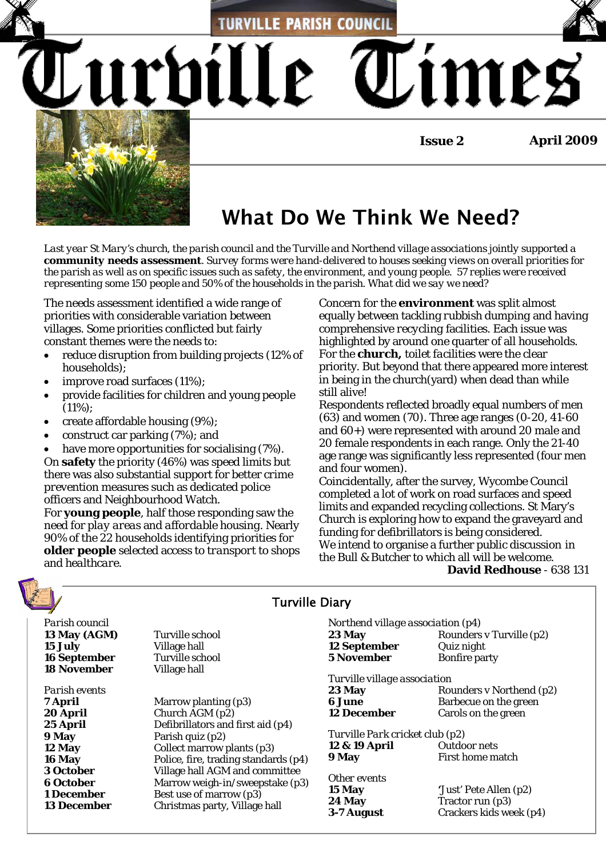**TURVILLE PARISH COUNCIL** 

**Issue 2 April 2009**



# What Do We Think We Need?

*Last year St Mary's church, the parish council and the Turville and Northend village associations jointly supported a community needs assessment. Survey forms were hand-delivered to houses seeking views on overall priorities for the parish as well as on specific issues such as safety, the environment, and young people. 57 replies were received representing some 150 people and 50% of the households in the parish. What did we say we need?*

The needs assessment identified a wide range of priorities with considerable variation between villages. Some priorities conflicted but fairly constant themes were the needs to:

• reduce disruption from building projects (12% of households);

Lurbille

- improve road surfaces (11%);
- provide facilities for children and young people  $(11\%)$ :
- create affordable housing (9%);
- construct car parking (7%); and

have more opportunities for socialising (7%).

On **safety** the priority (46%) was *speed limits* but there was also substantial support for better *crime prevention* measures such as dedicated police officers and Neighbourhood Watch.

For **young people**, half those responding saw the need for *play areas* and *affordable housing*. Nearly 90% of the 22 households identifying priorities for **older people** selected access to *transport to shops* and *healthcare.* 

Concern for the **environment** was split almost equally between tackling *rubbish dumping* and having comprehensive *recycling* facilities. Each issue was highlighted by around one quarter of all households. For the *church***,** *toilet facilities* were the clear priority. But beyond that there appeared more interest in being in the church(yard) when dead than while still alive!

Respondents reflected broadly equal numbers of men (63) and women (70). Three age ranges (0-20, 41-60 and 60+) were represented with around 20 male and 20 female respondents in each range. Only the 21-40 age range was significantly less represented (four men and four women).

Coincidentally, after the survey, Wycombe Council completed a lot of work on road surfaces and speed limits and expanded recycling collections. St Mary's Church is exploring how to expand the graveyard and funding for defibrillators is being considered. We intend to organise a further public discussion in the Bull & Butcher to which all will be welcome. **David Redhouse** - 638 131

*Parish council* **13 May (AGM)** Turville school **15 July** Village hall **16 September Turville school 18 November Village hall** 

*Parish events* 

**7 April Marrow planting (p3) 20 April** Church AGM (p2) **25 April Defibrillators and first aid (p4) 9 May** Parish quiz (p2) **12 May** Collect marrow plants (p3) **16 May** Police, fire, trading standards (p4) **3 October** Village hall AGM and committee **6 October** Marrow weigh-in/sweepstake (p3) **1 December** Best use of marrow (p3) **13 December** Christmas party, Village hall

### Turville Diary *Northend village association* (p4) **23 May** Rounders v Turville (p2) **12 September** Quiz night

**5 November** Bonfire party

*Turville village association* 

**23 May Rounders v Northend (p2) 6 June Barbecue on the green**<br>**12 December Carols on the green Carols on the green** 

*Turville Park cricket club (p2)*

**12 & 19 April** Outdoor nets **9 May First home match** 

## *Other events*

**15 May '**Just' Pete Allen (p2) **24 May Tractor run** (p3) **3-7 August** Crackers kids week (p4)

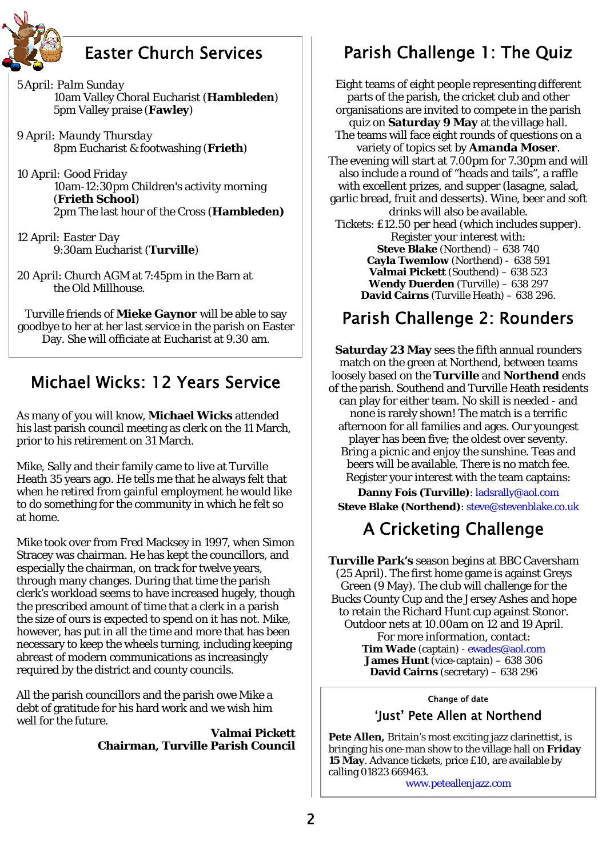

## Easter Church Services

*5April: Palm Sunday*  10am Valley Choral Eucharist (**Hambleden**) 5pm Valley praise (**Fawley**)

*9 April: Maundy Thursday*  8pm Eucharist & footwashing (**Frieth**)

*10 April: Good Friday*  10am-12:30pm Children's activity morning (**Frieth School**) 2pm The last hour of the Cross (**Hambleden)**

*12 April: Easter Day*  9:30am Eucharist (**Turville**)

*20 April*: Church AGM at 7:45pm in the Barn at the Old Millhouse.

Turville friends of **Mieke Gaynor** will be able to say goodbye to her at her last service in the parish on Easter Day. She will officiate at Eucharist at 9.30 am.

## Michael Wicks: 12 Years Service

As many of you will know, **Michael Wicks** attended his last parish council meeting as clerk on the 11 March, prior to his retirement on 31 March.

Mike, Sally and their family came to live at Turville Heath 35 years ago. He tells me that he always felt that when he retired from gainful employment he would like to do something for the community in which he felt so at home.

Mike took over from Fred Macksey in 1997, when Simon Stracey was chairman. He has kept the councillors, and especially the chairman, on track for twelve years, through many changes. During that time the parish clerk's workload seems to have increased hugely, though the prescribed amount of time that a clerk in a parish the size of ours is expected to spend on it has not. Mike, however, has put in all the time and more that has been necessary to keep the wheels turning, including keeping abreast of modern communications as increasingly required by the district and county councils.

All the parish councillors and the parish owe Mike a debt of gratitude for his hard work and we wish him well for the future.

> **Valmai Pickett Chairman, Turville Parish Council**

# Parish Challenge 1: The Quiz

Eight teams of eight people representing different parts of the parish, the cricket club and other organisations are invited to compete in the parish quiz on **Saturday 9 May** at the village hall. The teams will face eight rounds of questions on a variety of topics set by **Amanda Moser**. The evening will start at 7.00pm for 7.30pm and will also include a round of "heads and tails", a raffle with excellent prizes, and supper (lasagne, salad, garlic bread, fruit and desserts). Wine, beer and soft drinks will also be available. Tickets: £12.50 per head (which includes supper). Register your interest with: **Steve Blake** (Northend) – 638 740 **Cayla Twemlow** (Northend) - 638 591 **Valmai Pickett** (Southend) – 638 523 **Wendy Duerden** (Turville) – 638 297 **David Cairns** (Turville Heath) – 638 296.

## Parish Challenge 2: Rounders

**Saturday 23 May** sees the fifth annual rounders match on the green at Northend, between teams loosely based on the **Turville** and **Northend** ends of the parish. Southend and Turville Heath residents can play for either team. No skill is needed - and none is rarely shown! The match is a terrific afternoon for all families and ages. Our youngest player has been five; the oldest over seventy. Bring a picnic and enjoy the sunshine. Teas and beers will be available. There is no match fee. Register your interest with the team captains:

**Danny Fois (Turville)**: ladsrally@aol.com **Steve Blake (Northend)**: steve@stevenblake.co.uk

# A Cricketing Challenge

**Turville Park's** season begins at BBC Caversham (25 April). The first home game is against Greys Green (9 May). The club will challenge for the Bucks County Cup and the Jersey Ashes and hope to retain the Richard Hunt cup against Stonor. Outdoor nets at 10.00am on 12 and 19 April. For more information, contact: **Tim Wade** (captain) - ewades@aol.com **James Hunt** (vice-captain) – 638 306 **David Cairns** (secretary) – 638 296

### Change of date

## 'Just' Pete Allen at Northend

**Pete Allen,** Britain's most exciting jazz clarinettist, is bringing his one-man show to the village hall on **Friday 15 May**. Advance tickets, price £10, are available by calling 01823 669463.

www.peteallenjazz.com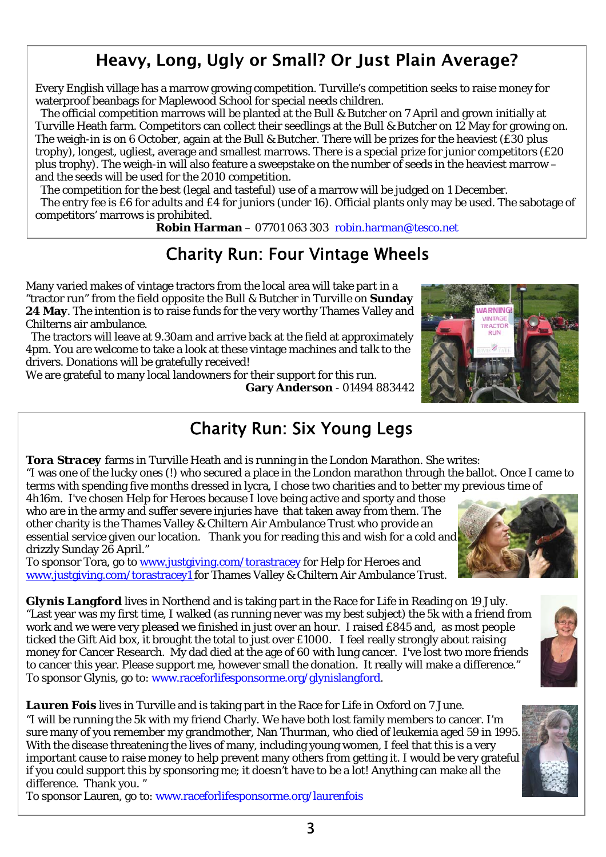## 3

# Heavy, Long, Ugly or Small? Or Just Plain Average?

Every English village has a marrow growing competition. Turville's competition seeks to raise money for waterproof beanbags for Maplewood School for special needs children.

 The official competition marrows will be planted at the Bull & Butcher on 7 April and grown initially at Turville Heath farm. Competitors can collect their seedlings at the Bull & Butcher on 12 May for growing on. The weigh-in is on 6 October, again at the Bull & Butcher. There will be prizes for the heaviest (£30 plus trophy), longest, ugliest, average and smallest marrows. There is a special prize for junior competitors (£20 plus trophy). The weigh-in will also feature a sweepstake on the number of seeds in the heaviest marrow – and the seeds will be used for the 2010 competition.

The competition for the best (legal and tasteful) use of a marrow will be judged on 1 December.

 The entry fee is £6 for adults and £4 for juniors (under 16). Official plants only may be used. The sabotage of competitors' marrows is prohibited.

**Robin Harman** – 07701 063 303 robin.harman@tesco.net

# Charity Run: Four Vintage Wheels

Many varied makes of vintage tractors from the local area will take part in a "tractor run" from the field opposite the Bull & Butcher in Turville on **Sunday 24 May**. The intention is to raise funds for the very worthy Thames Valley and Chilterns air ambulance.

 The tractors will leave at 9.30am and arrive back at the field at approximately 4pm. You are welcome to take a look at these vintage machines and talk to the drivers. Donations will be gratefully received!

We are grateful to many local landowners for their support for this run. **Gary Anderson** - 01494 883442

# Charity Run: Six Young Legs

*Tora Stracey* farms in Turville Heath and is running in the London Marathon. She writes: "I was one of the lucky ones (!) who secured a place in the London marathon through the ballot. Once I came to terms with spending five months dressed in lycra, I chose two charities and to better my previous time of

4h16m. I've chosen Help for Heroes because I love being active and sporty and those who are in the army and suffer severe injuries have that taken away from them. The other charity is the Thames Valley & Chiltern Air Ambulance Trust who provide an essential service given our location. Thank you for reading this and wish for a cold and drizzly Sunday 26 April."

To sponsor Tora, go to www.justgiving.com/torastracey for Help for Heroes and www.justgiving.com/torastracey1 for Thames Valley & Chiltern Air Ambulance Trust.

*Glynis Langford* lives in Northend and is taking part in the Race for Life in Reading on 19 July. "Last year was my first time, I walked (as running never was my best subject) the 5k with a friend from work and we were very pleased we finished in just over an hour. I raised £845 and, as most people ticked the Gift Aid box, it brought the total to just over £1000. I feel really strongly about raising money for Cancer Research. My dad died at the age of 60 with lung cancer. I've lost two more friends to cancer this year. Please support me, however small the donation. It really will make a difference." To sponsor Glynis, go to: www.raceforlifesponsorme.org/glynislangford.

*Lauren Fois* lives in Turville and is taking part in the Race for Life in Oxford on 7 June. "I will be running the 5k with my friend Charly. We have both lost family members to cancer. I'm sure many of you remember my grandmother, Nan Thurman, who died of leukemia aged 59 in 1995. With the disease threatening the lives of many, including young women, I feel that this is a very important cause to raise money to help prevent many others from getting it. I would be very grateful if you could support this by sponsoring me; it doesn't have to be a lot! Anything can make all the difference. Thank you. "

To sponsor Lauren, go to: www.raceforlifesponsorme.org/laurenfois